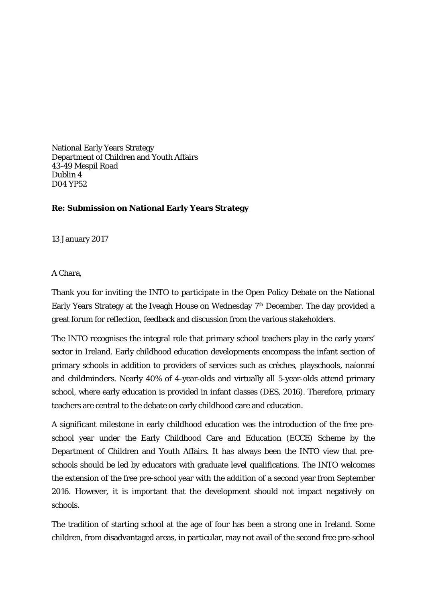National Early Years Strategy Department of Children and Youth Affairs 43-49 Mespil Road Dublin 4 D04 YP52

## **Re: Submission on National Early Years Strategy**

13 January 2017

A Chara,

Thank you for inviting the INTO to participate in the Open Policy Debate on the National Early Years Strategy at the Iveagh House on Wednesday 7th December. The day provided a great forum for reflection, feedback and discussion from the various stakeholders.

The INTO recognises the integral role that primary school teachers play in the early years' sector in Ireland. Early childhood education developments encompass the infant section of primary schools in addition to providers of services such as crèches, playschools, naíonraí and childminders. Nearly 40% of 4-year-olds and virtually all 5-year-olds attend primary school, where early education is provided in infant classes (DES, 2016). Therefore, primary teachers are central to the debate on early childhood care and education.

A significant milestone in early childhood education was the introduction of the free preschool year under the Early Childhood Care and Education (ECCE) Scheme by the Department of Children and Youth Affairs. It has always been the INTO view that preschools should be led by educators with graduate level qualifications. The INTO welcomes the extension of the free pre-school year with the addition of a second year from September 2016. However, it is important that the development should not impact negatively on schools.

The tradition of starting school at the age of four has been a strong one in Ireland. Some children, from disadvantaged areas, in particular, may not avail of the second free pre-school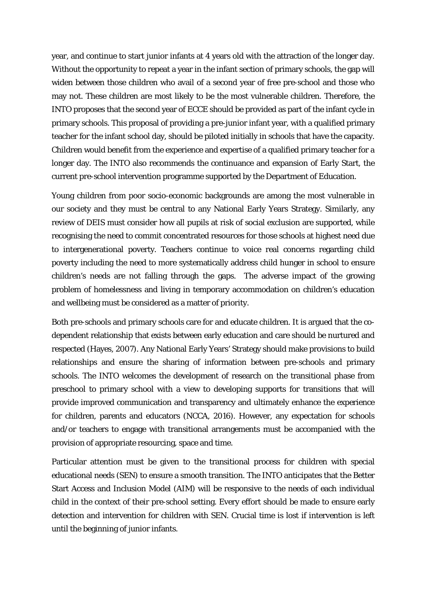year, and continue to start junior infants at 4 years old with the attraction of the longer day. Without the opportunity to repeat a year in the infant section of primary schools, the gap will widen between those children who avail of a second year of free pre-school and those who may not. These children are most likely to be the most vulnerable children. Therefore, the INTO proposes that the second year of ECCE should be provided as part of the infant cycle in primary schools. This proposal of providing a pre-junior infant year, with a qualified primary teacher for the infant school day, should be piloted initially in schools that have the capacity. Children would benefit from the experience and expertise of a qualified primary teacher for a longer day. The INTO also recommends the continuance and expansion of Early Start, the current pre-school intervention programme supported by the Department of Education.

Young children from poor socio-economic backgrounds are among the most vulnerable in our society and they must be central to any National Early Years Strategy. Similarly, any review of DEIS must consider how all pupils at risk of social exclusion are supported, while recognising the need to commit concentrated resources for those schools at highest need due to intergenerational poverty. Teachers continue to voice real concerns regarding child poverty including the need to more systematically address child hunger in school to ensure children's needs are not falling through the gaps. The adverse impact of the growing problem of homelessness and living in temporary accommodation on children's education and wellbeing must be considered as a matter of priority.

Both pre-schools and primary schools care for and educate children. It is argued that the codependent relationship that exists between early education and care should be nurtured and respected (Hayes, 2007). Any National Early Years' Strategy should make provisions to build relationships and ensure the sharing of information between pre-schools and primary schools. The INTO welcomes the development of research on the transitional phase from preschool to primary school with a view to developing supports for transitions that will provide improved communication and transparency and ultimately enhance the experience for children, parents and educators (NCCA, 2016). However, any expectation for schools and/or teachers to engage with transitional arrangements must be accompanied with the provision of appropriate resourcing, space and time.

Particular attention must be given to the transitional process for children with special educational needs (SEN) to ensure a smooth transition. The INTO anticipates that the Better Start Access and Inclusion Model (AIM) will be responsive to the needs of each individual child in the context of their pre-school setting. Every effort should be made to ensure early detection and intervention for children with SEN. Crucial time is lost if intervention is left until the beginning of junior infants.